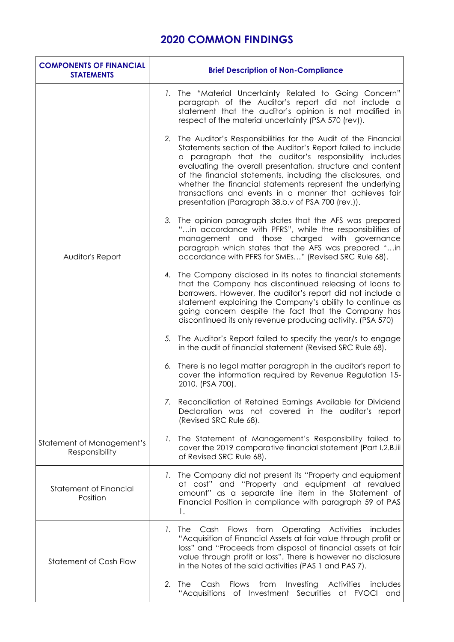## **2020 COMMON FINDINGS**

| <b>COMPONENTS OF FINANCIAL</b><br><b>STATEMENTS</b> | <b>Brief Description of Non-Compliance</b>                                                                                                                                                                                                                                                                                                                                                                                                                                                              |
|-----------------------------------------------------|---------------------------------------------------------------------------------------------------------------------------------------------------------------------------------------------------------------------------------------------------------------------------------------------------------------------------------------------------------------------------------------------------------------------------------------------------------------------------------------------------------|
| Auditor's Report                                    | The "Material Uncertainty Related to Going Concern"<br>$\mathbf{L}$<br>paragraph of the Auditor's report did not include a<br>statement that the auditor's opinion is not modified in<br>respect of the material uncertainty (PSA 570 (rev)).                                                                                                                                                                                                                                                           |
|                                                     | The Auditor's Responsibilities for the Audit of the Financial<br>2.<br>Statements section of the Auditor's Report failed to include<br>a paragraph that the auditor's responsibility includes<br>evaluating the overall presentation, structure and content<br>of the financial statements, including the disclosures, and<br>whether the financial statements represent the underlying<br>transactions and events in a manner that achieves fair<br>presentation (Paragraph 38.b.v of PSA 700 (rev.)). |
|                                                     | The opinion paragraph states that the AFS was prepared<br>3.<br>"in accordance with PFRS", while the responsibilities of<br>management and those charged with governance<br>paragraph which states that the AFS was prepared "in<br>accordance with PFRS for SMEs" (Revised SRC Rule 68).                                                                                                                                                                                                               |
|                                                     | 4. The Company disclosed in its notes to financial statements<br>that the Company has discontinued releasing of loans to<br>borrowers. However, the auditor's report did not include a<br>statement explaining the Company's ability to continue as<br>going concern despite the fact that the Company has<br>discontinued its only revenue producing activity. (PSA 570)                                                                                                                               |
|                                                     | 5. The Auditor's Report failed to specify the year/s to engage<br>in the audit of financial statement (Revised SRC Rule 68).                                                                                                                                                                                                                                                                                                                                                                            |
|                                                     | There is no legal matter paragraph in the auditor's report to<br>6.<br>cover the information required by Revenue Regulation 15-<br>2010. (PSA 700).                                                                                                                                                                                                                                                                                                                                                     |
|                                                     | 7. Reconciliation of Retained Earnings Available for Dividend<br>Declaration was not covered in the auditor's report<br>(Revised SRC Rule 68).                                                                                                                                                                                                                                                                                                                                                          |
| Statement of Management's<br>Responsibility         | 1. The Statement of Management's Responsibility failed to<br>cover the 2019 comparative financial statement (Part I.2.B.iii<br>of Revised SRC Rule 68).                                                                                                                                                                                                                                                                                                                                                 |
| <b>Statement of Financial</b><br>Position           | 1. The Company did not present its "Property and equipment<br>at cost" and "Property and equipment at revalued<br>amount" as a separate line item in the Statement of<br>Financial Position in compliance with paragraph 59 of PAS<br>1.                                                                                                                                                                                                                                                                |
| <b>Statement of Cash Flow</b>                       | Flows from Operating<br>Activities<br>1.<br>The<br>Cash<br>includes<br>"Acquisition of Financial Assets at fair value through profit or<br>loss" and "Proceeds from disposal of financial assets at fair<br>value through profit or loss". There is however no disclosure<br>in the Notes of the said activities (PAS 1 and PAS 7).                                                                                                                                                                     |
|                                                     | Cash<br>Flows<br>from<br>Investing<br><b>Activities</b><br>2.<br>The<br>includes<br>"Acquisitions of Investment Securities at FVOCI and                                                                                                                                                                                                                                                                                                                                                                 |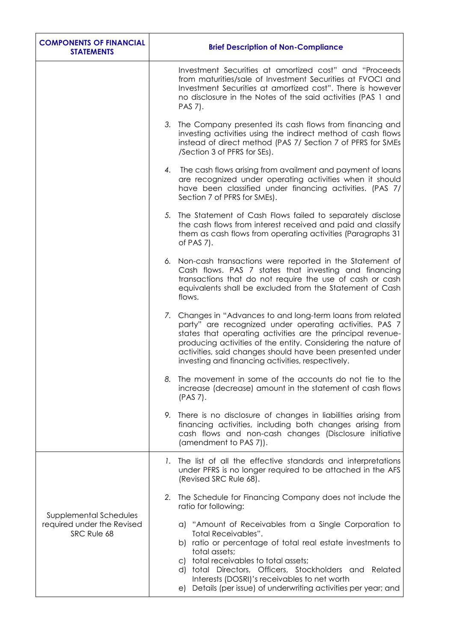| <b>COMPONENTS OF FINANCIAL</b><br><b>STATEMENTS</b>                 | <b>Brief Description of Non-Compliance</b>                                                                                                                                                                                                                                                                                                                                                   |
|---------------------------------------------------------------------|----------------------------------------------------------------------------------------------------------------------------------------------------------------------------------------------------------------------------------------------------------------------------------------------------------------------------------------------------------------------------------------------|
|                                                                     | Investment Securities at amortized cost" and "Proceeds"<br>from maturities/sale of Investment Securities at FVOCI and<br>Investment Securities at amortized cost". There is however<br>no disclosure in the Notes of the said activities (PAS 1 and<br>PAS 7).                                                                                                                               |
|                                                                     | 3. The Company presented its cash flows from financing and<br>investing activities using the indirect method of cash flows<br>instead of direct method (PAS 7/ Section 7 of PFRS for SMEs<br>/Section 3 of PFRS for SEs).                                                                                                                                                                    |
|                                                                     | 4. The cash flows arising from availment and payment of loans<br>are recognized under operating activities when it should<br>have been classified under financing activities. (PAS 7/<br>Section 7 of PFRS for SMEs).                                                                                                                                                                        |
|                                                                     | 5. The Statement of Cash Flows failed to separately disclose<br>the cash flows from interest received and paid and classify<br>them as cash flows from operating activities (Paragraphs 31<br>of PAS $7$ ).                                                                                                                                                                                  |
|                                                                     | 6. Non-cash transactions were reported in the Statement of<br>Cash flows. PAS 7 states that investing and financing<br>transactions that do not require the use of cash or cash<br>equivalents shall be excluded from the Statement of Cash<br>flows.                                                                                                                                        |
|                                                                     | 7. Changes in "Advances to and long-term loans from related<br>party" are recognized under operating activities. PAS 7<br>states that operating activities are the principal revenue-<br>producing activities of the entity. Considering the nature of<br>activities, said changes should have been presented under<br>investing and financing activities, respectively.                     |
|                                                                     | The movement in some of the accounts do not tie to the<br>8.<br>increase (decrease) amount in the statement of cash flows<br>(PAS 7).                                                                                                                                                                                                                                                        |
|                                                                     | 9. There is no disclosure of changes in liabilities arising from<br>financing activities, including both changes arising from<br>cash flows and non-cash changes (Disclosure initiative<br>(amendment to PAS 7)).                                                                                                                                                                            |
| Supplemental Schedules<br>required under the Revised<br>SRC Rule 68 | The list of all the effective standards and interpretations<br>Ι.<br>under PFRS is no longer required to be attached in the AFS<br>(Revised SRC Rule 68).                                                                                                                                                                                                                                    |
|                                                                     | The Schedule for Financing Company does not include the<br>2.<br>ratio for following:                                                                                                                                                                                                                                                                                                        |
|                                                                     | a) "Amount of Receivables from a Single Corporation to<br><b>Total Receivables".</b><br>b) ratio or percentage of total real estate investments to<br>total assets;<br>c) total receivables to total assets;<br>d) total Directors, Officers, Stockholders and Related<br>Interests (DOSRI)'s receivables to net worth<br>Details (per issue) of underwriting activities per year; and<br>e) |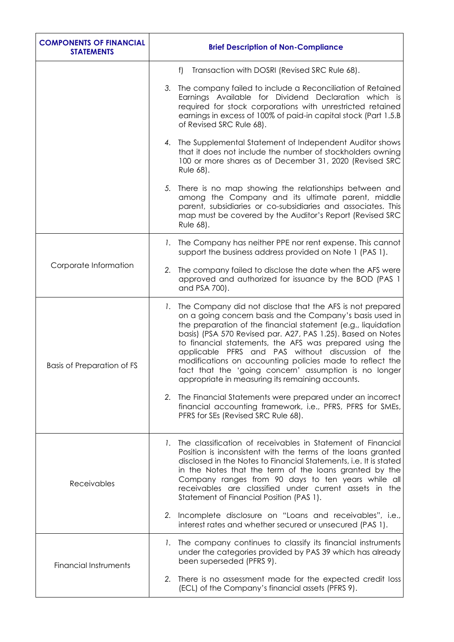| <b>COMPONENTS OF FINANCIAL</b><br><b>STATEMENTS</b> | <b>Brief Description of Non-Compliance</b>                                                                                                                                                                                                                                                                                                                                                                                                                                                                                                        |
|-----------------------------------------------------|---------------------------------------------------------------------------------------------------------------------------------------------------------------------------------------------------------------------------------------------------------------------------------------------------------------------------------------------------------------------------------------------------------------------------------------------------------------------------------------------------------------------------------------------------|
|                                                     | f) Transaction with DOSRI (Revised SRC Rule 68).                                                                                                                                                                                                                                                                                                                                                                                                                                                                                                  |
|                                                     | 3. The company failed to include a Reconciliation of Retained<br>Earnings Available for Dividend Declaration which<br>is i<br>required for stock corporations with unrestricted retained<br>earnings in excess of 100% of paid-in capital stock (Part 1.5.B)<br>of Revised SRC Rule 68).                                                                                                                                                                                                                                                          |
|                                                     | 4. The Supplemental Statement of Independent Auditor shows<br>that it does not include the number of stockholders owning<br>100 or more shares as of December 31, 2020 (Revised SRC<br>Rule 68).                                                                                                                                                                                                                                                                                                                                                  |
|                                                     | 5. There is no map showing the relationships between and<br>among the Company and its ultimate parent, middle<br>parent, subsidiaries or co-subsidiaries and associates. This<br>map must be covered by the Auditor's Report (Revised SRC<br>Rule 68).                                                                                                                                                                                                                                                                                            |
|                                                     | 1. The Company has neither PPE nor rent expense. This cannot<br>support the business address provided on Note 1 (PAS 1).                                                                                                                                                                                                                                                                                                                                                                                                                          |
| Corporate Information                               | 2. The company failed to disclose the date when the AFS were<br>approved and authorized for issuance by the BOD (PAS 1)<br>and PSA 700).                                                                                                                                                                                                                                                                                                                                                                                                          |
| <b>Basis of Preparation of FS</b>                   | 1. The Company did not disclose that the AFS is not prepared<br>on a going concern basis and the Company's basis used in<br>the preparation of the financial statement (e.g., liquidation<br>basis) (PSA 570 Revised par. A27, PAS 1.25). Based on Notes<br>to financial statements, the AFS was prepared using the<br>applicable PFRS and PAS without discussion of the<br>modifications on accounting policies made to reflect the<br>fact that the 'going concern' assumption is no longer<br>appropriate in measuring its remaining accounts. |
|                                                     | 2. The Financial Statements were prepared under an incorrect<br>financial accounting framework, i.e., PFRS, PFRS for SMEs,<br>PFRS for SEs (Revised SRC Rule 68).                                                                                                                                                                                                                                                                                                                                                                                 |
| Receivables                                         | The classification of receivables in Statement of Financial<br>1.<br>Position is inconsistent with the terms of the loans granted<br>disclosed in the Notes to Financial Statements, i.e. It is stated<br>in the Notes that the term of the loans granted by the<br>Company ranges from 90 days to ten years while all<br>receivables are classified under current assets in the<br>Statement of Financial Position (PAS 1).                                                                                                                      |
|                                                     | 2. Incomplete disclosure on "Loans and receivables", i.e.,<br>interest rates and whether secured or unsecured (PAS 1).                                                                                                                                                                                                                                                                                                                                                                                                                            |
| <b>Financial Instruments</b>                        | 1. The company continues to classify its financial instruments<br>under the categories provided by PAS 39 which has already<br>been superseded (PFRS 9).                                                                                                                                                                                                                                                                                                                                                                                          |
|                                                     | 2. There is no assessment made for the expected credit loss<br>(ECL) of the Company's financial assets (PFRS 9).                                                                                                                                                                                                                                                                                                                                                                                                                                  |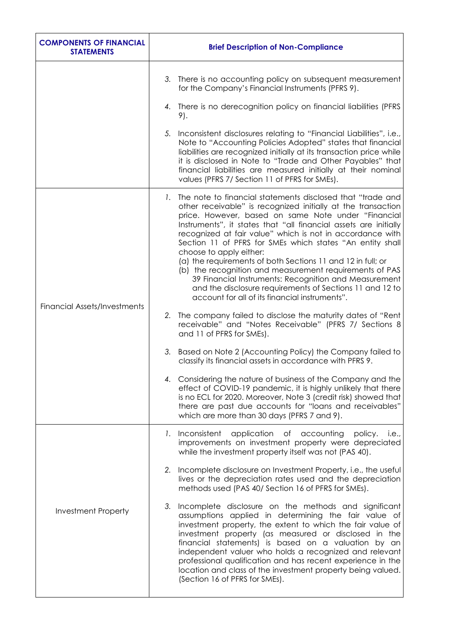| <b>COMPONENTS OF FINANCIAL</b><br><b>STATEMENTS</b> | <b>Brief Description of Non-Compliance</b>                                                                                                                                                                                                                                                                                                                                                                                                                                                                                                                                                                                                                                                                        |
|-----------------------------------------------------|-------------------------------------------------------------------------------------------------------------------------------------------------------------------------------------------------------------------------------------------------------------------------------------------------------------------------------------------------------------------------------------------------------------------------------------------------------------------------------------------------------------------------------------------------------------------------------------------------------------------------------------------------------------------------------------------------------------------|
|                                                     | 3. There is no accounting policy on subsequent measurement<br>for the Company's Financial Instruments (PFRS 9).                                                                                                                                                                                                                                                                                                                                                                                                                                                                                                                                                                                                   |
|                                                     | 4. There is no derecognition policy on financial liabilities (PFRS<br>9).                                                                                                                                                                                                                                                                                                                                                                                                                                                                                                                                                                                                                                         |
|                                                     | 5. Inconsistent disclosures relating to "Financial Liabilities", i.e.,<br>Note to "Accounting Policies Adopted" states that financial<br>liabilities are recognized initially at its transaction price while<br>it is disclosed in Note to "Trade and Other Payables" that<br>financial liabilities are measured initially at their nominal<br>values (PFRS 7/ Section 11 of PFRS for SMEs).                                                                                                                                                                                                                                                                                                                      |
| <b>Financial Assets/Investments</b>                 | The note to financial statements disclosed that "trade and<br>1.<br>other receivable" is recognized initially at the transaction<br>price. However, based on same Note under "Financial<br>Instruments", it states that "all financial assets are initially<br>recognized at fair value" which is not in accordance with<br>Section 11 of PFRS for SMEs which states "An entity shall<br>choose to apply either:<br>(a) the requirements of both Sections 11 and 12 in full; or<br>(b) the recognition and measurement requirements of PAS<br>39 Financial Instruments: Recognition and Measurement<br>and the disclosure requirements of Sections 11 and 12 to<br>account for all of its financial instruments". |
|                                                     | 2. The company failed to disclose the maturity dates of "Rent"<br>receivable" and "Notes Receivable" (PFRS 7/ Sections 8<br>and 11 of PFRS for SMEs).                                                                                                                                                                                                                                                                                                                                                                                                                                                                                                                                                             |
|                                                     | 3.<br>Based on Note 2 (Accounting Policy) the Company failed to<br>classify its financial assets in accordance with PFRS 9.                                                                                                                                                                                                                                                                                                                                                                                                                                                                                                                                                                                       |
|                                                     | 4. Considering the nature of business of the Company and the<br>effect of COVID-19 pandemic, it is highly unlikely that there<br>is no ECL for 2020. Moreover, Note 3 (credit risk) showed that<br>there are past due accounts for "loans and receivables"<br>which are more than 30 days (PFRS 7 and 9).                                                                                                                                                                                                                                                                                                                                                                                                         |
| <b>Investment Property</b>                          | Inconsistent<br>application of accounting<br>policy.<br><i>i.e.,</i><br>$\mathbf{L}$<br>improvements on investment property were depreciated<br>while the investment property itself was not (PAS 40).                                                                                                                                                                                                                                                                                                                                                                                                                                                                                                            |
|                                                     | Incomplete disclosure on Investment Property, i.e., the useful<br>2.<br>lives or the depreciation rates used and the depreciation<br>methods used (PAS 40/ Section 16 of PFRS for SMEs).                                                                                                                                                                                                                                                                                                                                                                                                                                                                                                                          |
|                                                     | Incomplete disclosure on the methods and significant<br>3.<br>assumptions applied in determining the fair value of<br>investment property, the extent to which the fair value of<br>investment property (as measured or disclosed in the<br>financial statements) is based on a valuation by an<br>independent valuer who holds a recognized and relevant<br>professional qualification and has recent experience in the<br>location and class of the investment property being valued.<br>(Section 16 of PFRS for SMEs).                                                                                                                                                                                         |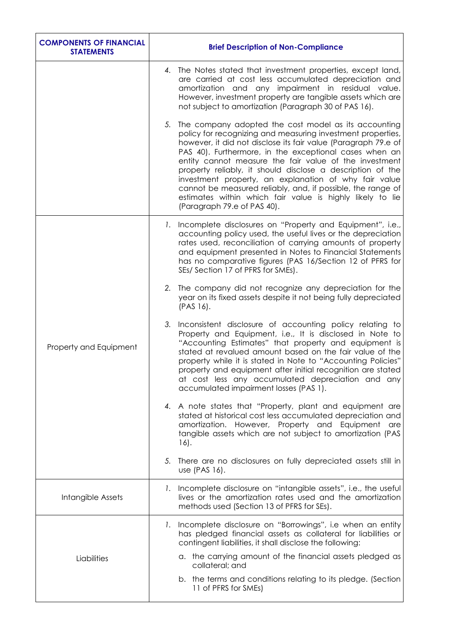| <b>COMPONENTS OF FINANCIAL</b><br><b>STATEMENTS</b> | <b>Brief Description of Non-Compliance</b>                                                                                                                                                                                                                                                                                                                                                                                                                                                                                                                                                     |
|-----------------------------------------------------|------------------------------------------------------------------------------------------------------------------------------------------------------------------------------------------------------------------------------------------------------------------------------------------------------------------------------------------------------------------------------------------------------------------------------------------------------------------------------------------------------------------------------------------------------------------------------------------------|
|                                                     | 4. The Notes stated that investment properties, except land,<br>are carried at cost less accumulated depreciation and<br>amortization and any impairment in residual value.<br>However, investment property are tangible assets which are<br>not subject to amortization (Paragraph 30 of PAS 16).                                                                                                                                                                                                                                                                                             |
|                                                     | 5. The company adopted the cost model as its accounting<br>policy for recognizing and measuring investment properties,<br>however, it did not disclose its fair value (Paragraph 79.e of<br>PAS 40). Furthermore, in the exceptional cases when an<br>entity cannot measure the fair value of the investment<br>property reliably, it should disclose a description of the<br>investment property, an explanation of why fair value<br>cannot be measured reliably, and, if possible, the range of<br>estimates within which fair value is highly likely to lie<br>(Paragraph 79.e of PAS 40). |
| Property and Equipment                              | 1. Incomplete disclosures on "Property and Equipment", i.e.,<br>accounting policy used, the useful lives or the depreciation<br>rates used, reconciliation of carrying amounts of property<br>and equipment presented in Notes to Financial Statements<br>has no comparative figures (PAS 16/Section 12 of PFRS for<br>SEs/ Section 17 of PFRS for SMEs).                                                                                                                                                                                                                                      |
|                                                     | The company did not recognize any depreciation for the<br>2.<br>year on its fixed assets despite it not being fully depreciated<br>$(PAS 16)$ .                                                                                                                                                                                                                                                                                                                                                                                                                                                |
|                                                     | Inconsistent disclosure of accounting policy relating to<br>3.<br>Property and Equipment, i.e., It is disclosed in Note to<br>"Accounting Estimates" that property and equipment is<br>stated at revalued amount based on the fair value of the<br>property while it is stated in Note to "Accounting Policies"<br>property and equipment after initial recognition are stated<br>at cost less any accumulated depreciation and any<br>accumulated impairment losses (PAS 1).                                                                                                                  |
|                                                     | 4. A note states that "Property, plant and equipment are<br>stated at historical cost less accumulated depreciation and<br>amortization. However, Property and Equipment<br>are<br>tangible assets which are not subject to amortization (PAS<br>$16$ .                                                                                                                                                                                                                                                                                                                                        |
|                                                     | There are no disclosures on fully depreciated assets still in<br>5.<br>use (PAS 16).                                                                                                                                                                                                                                                                                                                                                                                                                                                                                                           |
| Intangible Assets                                   | Incomplete disclosure on "intangible assets", i.e., the useful<br>$\mathsf{L}$ .<br>lives or the amortization rates used and the amortization<br>methods used (Section 13 of PFRS for SEs).                                                                                                                                                                                                                                                                                                                                                                                                    |
| Liabilities                                         | 1. Incomplete disclosure on "Borrowings", i.e when an entity<br>has pledged financial assets as collateral for liabilities or<br>contingent liabilities, it shall disclose the following:                                                                                                                                                                                                                                                                                                                                                                                                      |
|                                                     | a. the carrying amount of the financial assets pledged as<br>collateral; and                                                                                                                                                                                                                                                                                                                                                                                                                                                                                                                   |
|                                                     | b. the terms and conditions relating to its pledge. (Section<br>11 of PFRS for SMEs)                                                                                                                                                                                                                                                                                                                                                                                                                                                                                                           |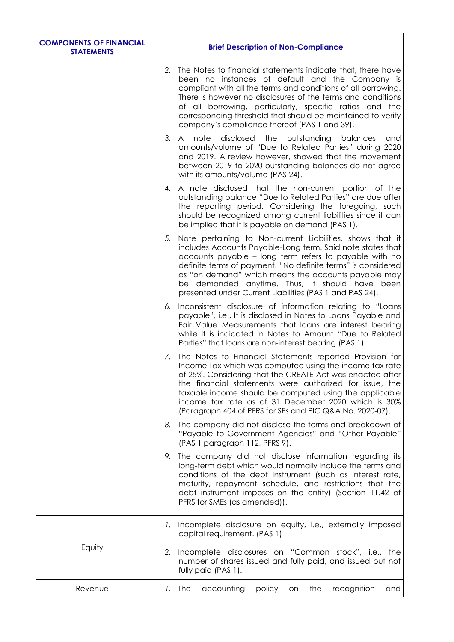| <b>COMPONENTS OF FINANCIAL</b><br><b>STATEMENTS</b> | <b>Brief Description of Non-Compliance</b>                                                                                                                                                                                                                                                                                                                                                                                     |
|-----------------------------------------------------|--------------------------------------------------------------------------------------------------------------------------------------------------------------------------------------------------------------------------------------------------------------------------------------------------------------------------------------------------------------------------------------------------------------------------------|
|                                                     | 2. The Notes to financial statements indicate that, there have<br>been no instances of default and the Company is<br>compliant with all the terms and conditions of all borrowing.<br>There is however no disclosures of the terms and conditions<br>of all borrowing, particularly, specific ratios and the<br>corresponding threshold that should be maintained to verify<br>company's compliance thereof (PAS 1 and 39).    |
|                                                     | 3. A note disclosed the outstanding<br>balances<br>and<br>amounts/volume of "Due to Related Parties" during 2020<br>and 2019. A review however, showed that the movement<br>between 2019 to 2020 outstanding balances do not agree<br>with its amounts/volume (PAS 24).                                                                                                                                                        |
|                                                     | 4. A note disclosed that the non-current portion of the<br>outstanding balance "Due to Related Parties" are due after<br>the reporting period. Considering the foregoing, such<br>should be recognized among current liabilities since it can<br>be implied that it is payable on demand (PAS 1).                                                                                                                              |
|                                                     | Note pertaining to Non-current Liabilities, shows that it<br>5.<br>includes Accounts Payable-Long term. Said note states that<br>accounts payable - long term refers to payable with no<br>definite terms of payment. "No definite terms" is considered<br>as "on demand" which means the accounts payable may<br>be demanded anytime. Thus, it should have been<br>presented under Current Liabilities (PAS 1 and PAS 24).    |
|                                                     | Inconsistent disclosure of information relating to "Loans"<br>6.<br>payable", i.e., It is disclosed in Notes to Loans Payable and<br>Fair Value Measurements that loans are interest bearing<br>while it is indicated in Notes to Amount "Due to Related<br>Parties" that loans are non-interest bearing (PAS 1).                                                                                                              |
|                                                     | The Notes to Financial Statements reported Provision for<br>7.<br>Income Tax which was computed using the income tax rate<br>of 25%. Considering that the CREATE Act was enacted after<br>the financial statements were authorized for issue, the<br>taxable income should be computed using the applicable<br>income tax rate as of 31 December 2020 which is 30%<br>(Paragraph 404 of PFRS for SEs and PIC Q&A No. 2020-07). |
|                                                     | 8. The company did not disclose the terms and breakdown of<br>"Payable to Government Agencies" and "Other Payable"<br>(PAS 1 paragraph 112, PFRS 9).                                                                                                                                                                                                                                                                           |
|                                                     | The company did not disclose information regarding its<br>9.<br>long-term debt which would normally include the terms and<br>conditions of the debt instrument (such as interest rate,<br>maturity, repayment schedule, and restrictions that the<br>debt instrument imposes on the entity) (Section 11.42 of<br>PFRS for SMEs (as amended)).                                                                                  |
|                                                     | 1. Incomplete disclosure on equity, i.e., externally imposed<br>capital requirement. (PAS 1)                                                                                                                                                                                                                                                                                                                                   |
| Equity                                              | Incomplete disclosures on "Common stock", i.e., the<br>2.<br>number of shares issued and fully paid, and issued but not<br>fully paid (PAS 1).                                                                                                                                                                                                                                                                                 |
| Revenue                                             | 1. The<br>accounting<br>policy<br>the<br>recognition<br>on<br>and                                                                                                                                                                                                                                                                                                                                                              |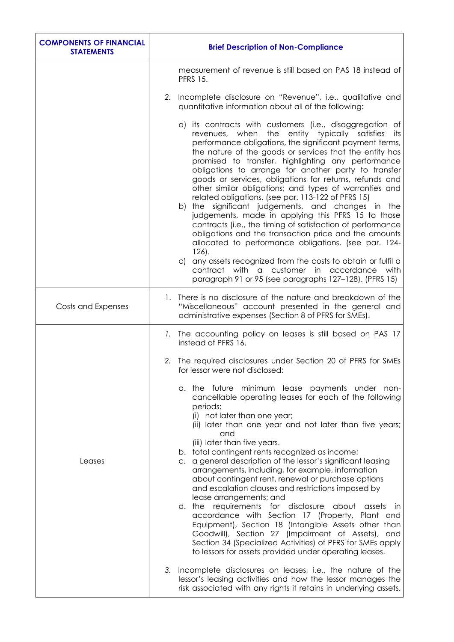| <b>COMPONENTS OF FINANCIAL</b><br><b>STATEMENTS</b> | <b>Brief Description of Non-Compliance</b>                                                                                                                                                                                                                                                                                                                                                                                                                                                                                                                                                                                                                                                                                                                                                                                                                                                                                                                                                                         |
|-----------------------------------------------------|--------------------------------------------------------------------------------------------------------------------------------------------------------------------------------------------------------------------------------------------------------------------------------------------------------------------------------------------------------------------------------------------------------------------------------------------------------------------------------------------------------------------------------------------------------------------------------------------------------------------------------------------------------------------------------------------------------------------------------------------------------------------------------------------------------------------------------------------------------------------------------------------------------------------------------------------------------------------------------------------------------------------|
|                                                     | measurement of revenue is still based on PAS 18 instead of<br><b>PFRS 15.</b>                                                                                                                                                                                                                                                                                                                                                                                                                                                                                                                                                                                                                                                                                                                                                                                                                                                                                                                                      |
|                                                     | 2. Incomplete disclosure on "Revenue", i.e., qualitative and<br>quantitative information about all of the following:                                                                                                                                                                                                                                                                                                                                                                                                                                                                                                                                                                                                                                                                                                                                                                                                                                                                                               |
|                                                     | a) its contracts with customers (i.e., disaggregation of<br>the entity typically satisfies<br>revenues, when<br>its.<br>performance obligations, the significant payment terms,<br>the nature of the goods or services that the entity has<br>promised to transfer, highlighting any performance<br>obligations to arrange for another party to transfer<br>goods or services, obligations for returns, refunds and<br>other similar obligations; and types of warranties and<br>related obligations. (see par. 113-122 of PFRS 15)<br>b) the significant judgements, and changes in the<br>judgements, made in applying this PFRS 15 to those<br>contracts (i.e., the timing of satisfaction of performance<br>obligations and the transaction price and the amounts<br>allocated to performance obligations. (see par. 124-<br>$126$ .<br>c) any assets recognized from the costs to obtain or fulfil a<br>contract with a customer in accordance with<br>paragraph 91 or 95 (see paragraphs 127-128). (PFRS 15) |
| Costs and Expenses                                  | 1. There is no disclosure of the nature and breakdown of the<br>"Miscellaneous" account presented in the general and<br>administrative expenses (Section 8 of PFRS for SMEs).                                                                                                                                                                                                                                                                                                                                                                                                                                                                                                                                                                                                                                                                                                                                                                                                                                      |
|                                                     | 1. The accounting policy on leases is still based on PAS 17<br>instead of PFRS 16.                                                                                                                                                                                                                                                                                                                                                                                                                                                                                                                                                                                                                                                                                                                                                                                                                                                                                                                                 |
|                                                     | 2.<br>The required disclosures under Section 20 of PFRS for SMEs<br>for lessor were not disclosed:                                                                                                                                                                                                                                                                                                                                                                                                                                                                                                                                                                                                                                                                                                                                                                                                                                                                                                                 |
| Leases                                              | a. the future minimum lease payments under non-<br>cancellable operating leases for each of the following<br>periods:<br>(i) not later than one year;<br>(ii) later than one year and not later than five years;<br>and<br>(iii) later than five years.<br>b. total contingent rents recognized as income;<br>c. a general description of the lessor's significant leasing<br>arrangements, including, for example, information<br>about contingent rent, renewal or purchase options<br>and escalation clauses and restrictions imposed by<br>lease arrangements; and<br>d. the requirements for disclosure about assets<br>- in<br>accordance with Section 17 (Property, Plant and<br>Equipment), Section 18 (Intangible Assets other than<br>Goodwill), Section 27 (Impairment of Assets), and<br>Section 34 (Specialized Activities) of PFRS for SMEs apply<br>to lessors for assets provided under operating leases.                                                                                          |
|                                                     | 3. Incomplete disclosures on leases, i.e., the nature of the<br>lessor's leasing activities and how the lessor manages the<br>risk associated with any rights it retains in underlying assets.                                                                                                                                                                                                                                                                                                                                                                                                                                                                                                                                                                                                                                                                                                                                                                                                                     |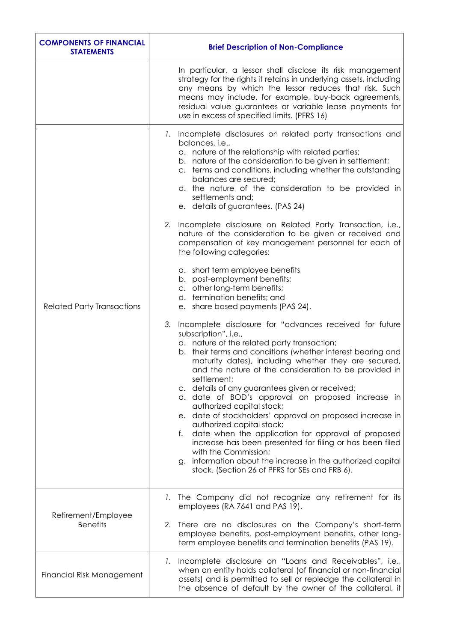| <b>COMPONENTS OF FINANCIAL</b><br><b>STATEMENTS</b> | <b>Brief Description of Non-Compliance</b>                                                                                                                                                                                                                                                                                                                                                                                                                                                                                                                                                                                                                                                                                                                                                                                          |
|-----------------------------------------------------|-------------------------------------------------------------------------------------------------------------------------------------------------------------------------------------------------------------------------------------------------------------------------------------------------------------------------------------------------------------------------------------------------------------------------------------------------------------------------------------------------------------------------------------------------------------------------------------------------------------------------------------------------------------------------------------------------------------------------------------------------------------------------------------------------------------------------------------|
|                                                     | In particular, a lessor shall disclose its risk management<br>strategy for the rights it retains in underlying assets, including<br>any means by which the lessor reduces that risk. Such<br>means may include, for example, buy-back agreements,<br>residual value guarantees or variable lease payments for<br>use in excess of specified limits. (PFRS 16)                                                                                                                                                                                                                                                                                                                                                                                                                                                                       |
| <b>Related Party Transactions</b>                   | 1. Incomplete disclosures on related party transactions and<br>balances, i.e.,<br>a. nature of the relationship with related parties;<br>b. nature of the consideration to be given in settlement;<br>c. terms and conditions, including whether the outstanding<br>balances are secured;<br>d. the nature of the consideration to be provided in<br>settlements and;<br>e. details of guarantees. (PAS 24)<br>2. Incomplete disclosure on Related Party Transaction, i.e.,                                                                                                                                                                                                                                                                                                                                                         |
|                                                     | nature of the consideration to be given or received and<br>compensation of key management personnel for each of<br>the following categories:                                                                                                                                                                                                                                                                                                                                                                                                                                                                                                                                                                                                                                                                                        |
|                                                     | a. short term employee benefits<br>b. post-employment benefits;<br>c. other long-term benefits;<br>d. termination benefits; and<br>e. share based payments (PAS 24).                                                                                                                                                                                                                                                                                                                                                                                                                                                                                                                                                                                                                                                                |
|                                                     | 3. Incomplete disclosure for "advances received for future<br>subscription", i.e.,<br>a. nature of the related party transaction;<br>b. their terms and conditions (whether interest bearing and<br>maturity dates), including whether they are secured,<br>and the nature of the consideration to be provided in<br>settlement;<br>c. details of any guarantees given or received;<br>d. date of BOD's approval on proposed increase in<br>authorized capital stock;<br>e. date of stockholders' approval on proposed increase in<br>authorized capital stock;<br>date when the application for approval of proposed<br>f.<br>increase has been presented for filing or has been filed<br>with the Commission;<br>information about the increase in the authorized capital<br>g.<br>stock. (Section 26 of PFRS for SEs and FRB 6). |
| Retirement/Employee<br><b>Benefits</b>              | 1. The Company did not recognize any retirement for its<br>employees (RA 7641 and PAS 19).                                                                                                                                                                                                                                                                                                                                                                                                                                                                                                                                                                                                                                                                                                                                          |
|                                                     | There are no disclosures on the Company's short-term<br>2.<br>employee benefits, post-employment benefits, other long-<br>term employee benefits and termination benefits (PAS 19).                                                                                                                                                                                                                                                                                                                                                                                                                                                                                                                                                                                                                                                 |
| Financial Risk Management                           | 1. Incomplete disclosure on "Loans and Receivables", i.e.,<br>when an entity holds collateral (of financial or non-financial<br>assets) and is permitted to sell or repledge the collateral in<br>the absence of default by the owner of the collateral, it                                                                                                                                                                                                                                                                                                                                                                                                                                                                                                                                                                         |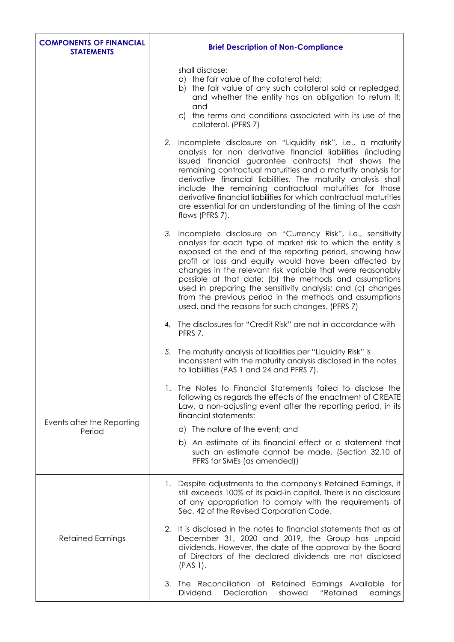| <b>COMPONENTS OF FINANCIAL</b><br><b>STATEMENTS</b> | <b>Brief Description of Non-Compliance</b>                                                                                                                                                                                                                                                                                                                                                                                                                                                                                                               |
|-----------------------------------------------------|----------------------------------------------------------------------------------------------------------------------------------------------------------------------------------------------------------------------------------------------------------------------------------------------------------------------------------------------------------------------------------------------------------------------------------------------------------------------------------------------------------------------------------------------------------|
|                                                     | shall disclose:<br>a) the fair value of the collateral held;<br>b) the fair value of any such collateral sold or repledged,<br>and whether the entity has an obligation to return it;<br>and<br>c) the terms and conditions associated with its use of the<br>collateral. (PFRS 7)                                                                                                                                                                                                                                                                       |
|                                                     | 2. Incomplete disclosure on "Liquidity risk", i.e., a maturity<br>analysis for non derivative financial liabilities (including<br>issued financial guarantee contracts) that shows the<br>remaining contractual maturities and a maturity analysis for<br>derivative financial liabilities. The maturity analysis shall<br>include the remaining contractual maturities for those<br>derivative financial liabilities for which contractual maturities<br>are essential for an understanding of the timing of the cash<br>flows (PFRS 7).                |
|                                                     | 3. Incomplete disclosure on "Currency Risk", i.e., sensitivity<br>analysis for each type of market risk to which the entity is<br>exposed at the end of the reporting period, showing how<br>profit or loss and equity would have been affected by<br>changes in the relevant risk variable that were reasonably<br>possible at that date; (b) the methods and assumptions<br>used in preparing the sensitivity analysis; and (c) changes<br>from the previous period in the methods and assumptions<br>used, and the reasons for such changes. (PFRS 7) |
|                                                     | 4. The disclosures for "Credit Risk" are not in accordance with<br>PFRS 7.                                                                                                                                                                                                                                                                                                                                                                                                                                                                               |
|                                                     | The maturity analysis of liabilities per "Liquidity Risk" is<br>5.<br>inconsistent with the maturity analysis disclosed in the notes<br>to liabilities (PAS 1 and 24 and PFRS 7).                                                                                                                                                                                                                                                                                                                                                                        |
|                                                     | The Notes to Financial Statements failed to disclose the<br>1.<br>following as regards the effects of the enactment of CREATE<br>Law, a non-adjusting event after the reporting period, in its<br>financial statements:                                                                                                                                                                                                                                                                                                                                  |
| Events after the Reporting<br>Period                | a) The nature of the event; and                                                                                                                                                                                                                                                                                                                                                                                                                                                                                                                          |
|                                                     | b) An estimate of its financial effect or a statement that<br>such an estimate cannot be made. (Section 32.10 of<br>PFRS for SMEs (as amended))                                                                                                                                                                                                                                                                                                                                                                                                          |
| <b>Retained Earnings</b>                            | 1. Despite adjustments to the company's Retained Earnings, it<br>still exceeds 100% of its paid-in capital. There is no disclosure<br>of any appropriation to comply with the requirements of<br>Sec. 42 of the Revised Corporation Code.                                                                                                                                                                                                                                                                                                                |
|                                                     | 2. It is disclosed in the notes to financial statements that as at<br>December 31, 2020 and 2019, the Group has unpaid<br>dividends. However, the date of the approval by the Board<br>of Directors of the declared dividends are not disclosed<br>$(PAS 1)$ .                                                                                                                                                                                                                                                                                           |
|                                                     | The Reconciliation of Retained Earnings Available for<br>3.<br>Declaration<br>"Retained<br><b>Dividend</b><br>showed<br>earnings                                                                                                                                                                                                                                                                                                                                                                                                                         |